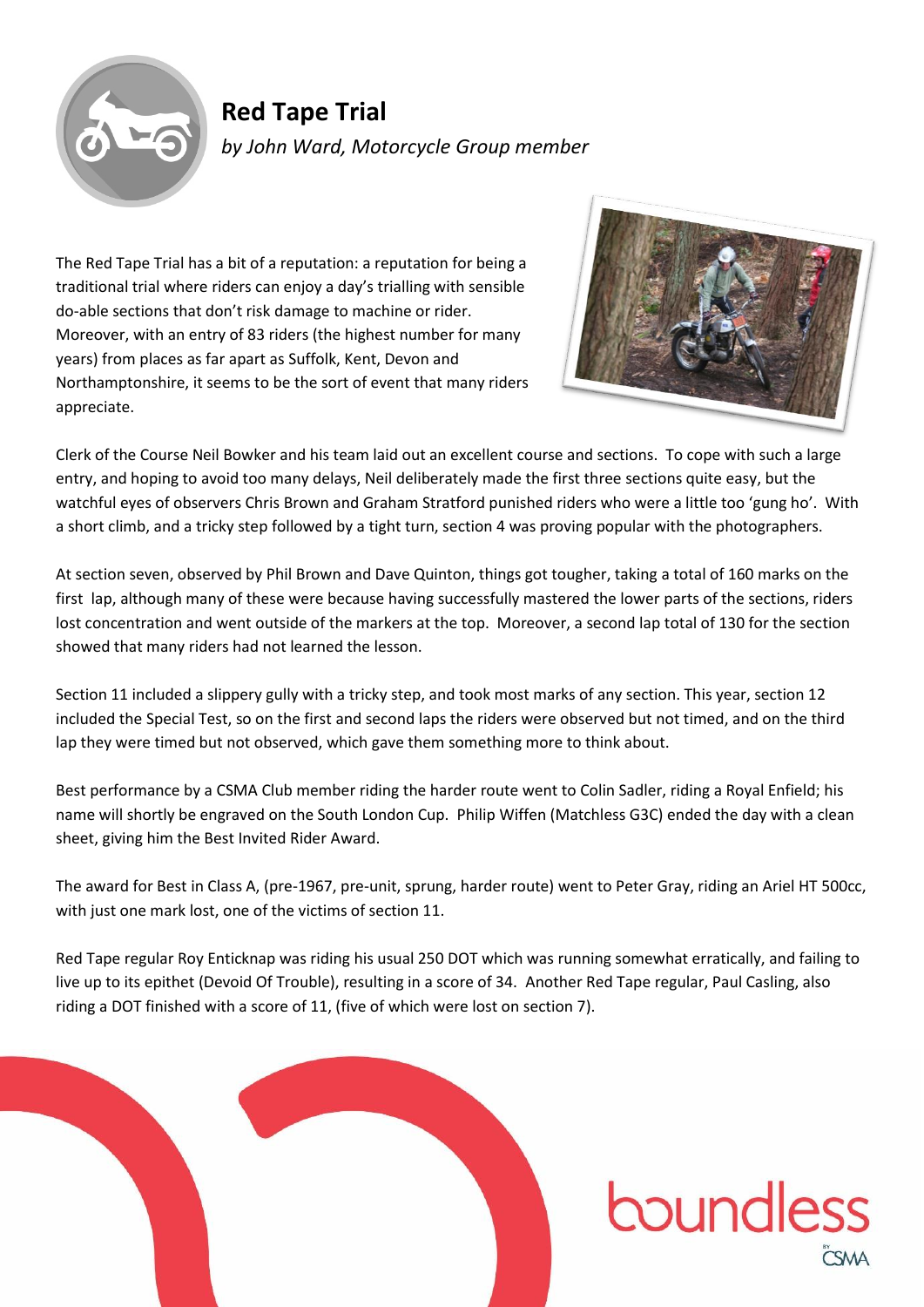

## **Red Tape Trial** *by John Ward, Motorcycle Group member*

The Red Tape Trial has a bit of a reputation: a reputation for being a traditional trial where riders can enjoy a day's trialling with sensible do-able sections that don't risk damage to machine or rider. Moreover, with an entry of 83 riders (the highest number for many years) from places as far apart as Suffolk, Kent, Devon and Northamptonshire, it seems to be the sort of event that many riders appreciate.



boundless

Clerk of the Course Neil Bowker and his team laid out an excellent course and sections. To cope with such a large entry, and hoping to avoid too many delays, Neil deliberately made the first three sections quite easy, but the watchful eyes of observers Chris Brown and Graham Stratford punished riders who were a little too 'gung ho'. With a short climb, and a tricky step followed by a tight turn, section 4 was proving popular with the photographers.

At section seven, observed by Phil Brown and Dave Quinton, things got tougher, taking a total of 160 marks on the first lap, although many of these were because having successfully mastered the lower parts of the sections, riders lost concentration and went outside of the markers at the top. Moreover, a second lap total of 130 for the section showed that many riders had not learned the lesson.

Section 11 included a slippery gully with a tricky step, and took most marks of any section. This year, section 12 included the Special Test, so on the first and second laps the riders were observed but not timed, and on the third lap they were timed but not observed, which gave them something more to think about.

Best performance by a CSMA Club member riding the harder route went to Colin Sadler, riding a Royal Enfield; his name will shortly be engraved on the South London Cup. Philip Wiffen (Matchless G3C) ended the day with a clean sheet, giving him the Best Invited Rider Award.

The award for Best in Class A, (pre-1967, pre-unit, sprung, harder route) went to Peter Gray, riding an Ariel HT 500cc, with just one mark lost, one of the victims of section 11.

Red Tape regular Roy Enticknap was riding his usual 250 DOT which was running somewhat erratically, and failing to live up to its epithet (Devoid Of Trouble), resulting in a score of 34. Another Red Tape regular, Paul Casling, also riding a DOT finished with a score of 11, (five of which were lost on section 7).